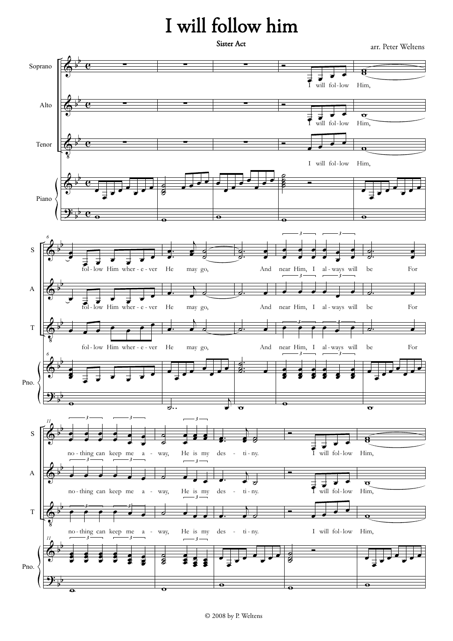## I will follow him

Sister Act arr. Peter Weltens

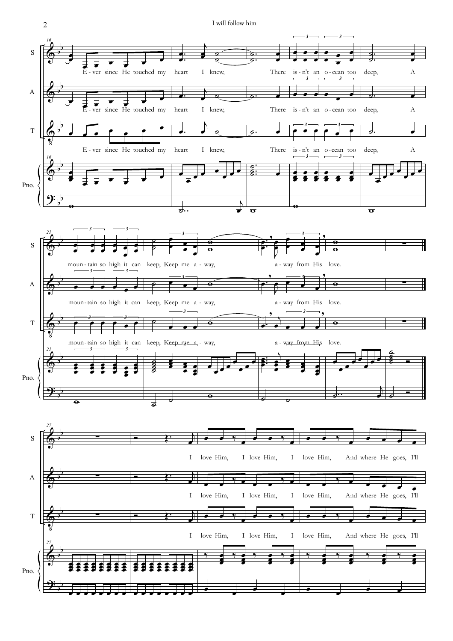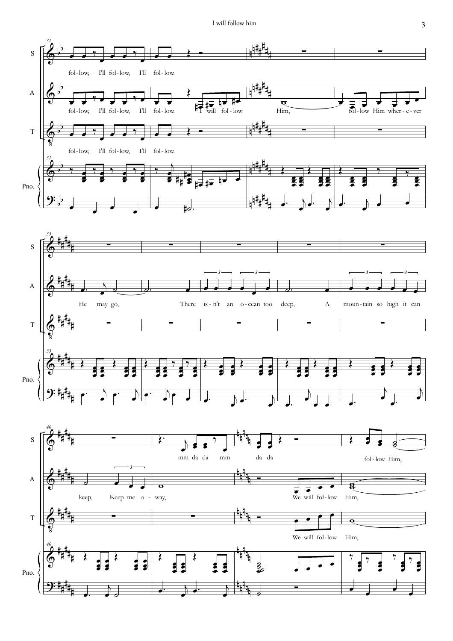

 $\equiv$ 

 $\frac{1}{\epsilon}$ œ  $\frac{1}{2}$ œ ē  $\equiv$ 

j

 $\sum_{n=1}^{\infty}$ œ  $\frac{1}{2}$ œ ë<br>V  $\equiv$ 

j

 $\sum_{\mathbf{s}}$ œ  $\frac{1}{2}$ œ ĕ

> j œ

 $\frac{1}{\sqrt{2}}$ œ  $\frac{1}{2}$ œ ë<br>V

 $\sum$ œ  $\frac{1}{2}$ œ ë<br>V

 $\sum$ œ  $\frac{1}{2}$ œ ē

 $\cdot$  j

 $\Phi$ 

T

Pno.

# # # # #

Ξ

 $\equiv$ 

 $\frac{1}{2}$ œ ë<br>V  $\frac{9}{2}$ œ œ

 $\rightarrow$ 

 $\sum$ œ ë<br>V  $\overline{\bullet}$ œ œ

 $\cdot$  )

 $\overrightarrow{e}$ œ

 $\sum$ œ  $\overline{\mathbf{e}}$ œ  $\frac{1}{2}$ œ  $\frac{1}{2}$ œ œ

 $\cdot$  )

# # # # #

# # # # #

 $\spadesuit$ 

*35*

<u>.</u>

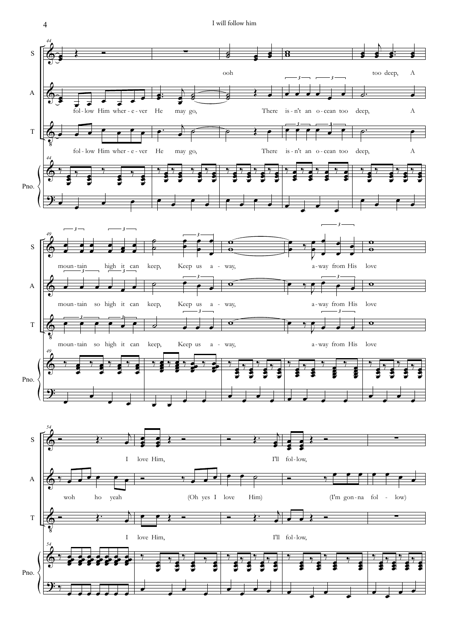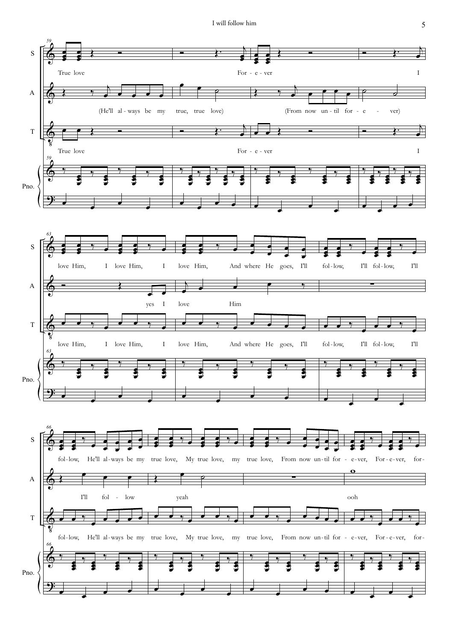